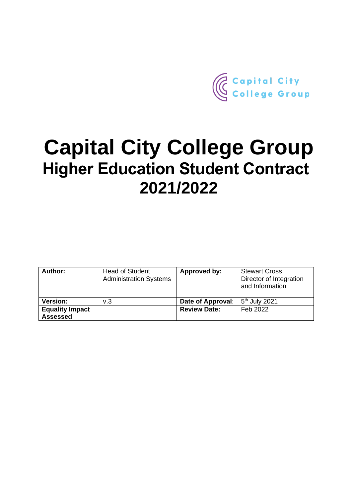

# **Capital City College Group Higher Education Student Contract 2021/2022**

| Author:                                   | <b>Head of Student</b><br><b>Administration Systems</b> | Approved by:        | <b>Stewart Cross</b><br>Director of Integration<br>and Information |
|-------------------------------------------|---------------------------------------------------------|---------------------|--------------------------------------------------------------------|
| <b>Version:</b>                           | v.3                                                     | Date of Approval:   | $5th$ July 2021                                                    |
| <b>Equality Impact</b><br><b>Assessed</b> |                                                         | <b>Review Date:</b> | Feb 2022                                                           |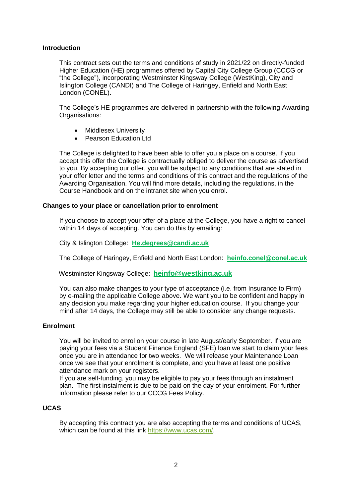# **Introduction**

This contract sets out the terms and conditions of study in 2021/22 on directly-funded Higher Education (HE) programmes offered by Capital City College Group (CCCG or "the College"), incorporating Westminster Kingsway College (WestKing), City and Islington College (CANDI) and The College of Haringey, Enfield and North East London (CONEL).

The College's HE programmes are delivered in partnership with the following Awarding Organisations:

- Middlesex University
- Pearson Education Ltd

The College is delighted to have been able to offer you a place on a course. If you accept this offer the College is contractually obliged to deliver the course as advertised to you. By accepting our offer, you will be subject to any conditions that are stated in your offer letter and the terms and conditions of this contract and the regulations of the Awarding Organisation. You will find more details, including the regulations, in the Course Handbook and on the intranet site when you enrol.

## **Changes to your place or cancellation prior to enrolment**

If you choose to accept your offer of a place at the College, you have a right to cancel within 14 days of accepting. You can do this by emailing:

City & Islington College: **[He.degrees@candi.ac.uk](mailto:He.degrees@candi.ac.uk)**

The College of Haringey, Enfield and North East London: **[heinfo.conel@conel.ac.uk](mailto:heinfo.conel@conel.ac.uk)**

Westminster Kingsway College: **[heinfo@westking.ac.uk](mailto:heinfo@westking.ac.uk)**

You can also make changes to your type of acceptance (i.e. from Insurance to Firm) by e-mailing the applicable College above. We want you to be confident and happy in any decision you make regarding your higher education course. If you change your mind after 14 days, the College may still be able to consider any change requests.

## **Enrolment**

You will be invited to enrol on your course in late August/early September. If you are paying your fees via a Student Finance England (SFE) loan we start to claim your fees once you are in attendance for two weeks. We will release your Maintenance Loan once we see that your enrolment is complete, and you have at least one positive attendance mark on your registers.

If you are self-funding, you may be eligible to pay your fees through an instalment plan. The first instalment is due to be paid on the day of your enrolment. For further information please refer to our CCCG Fees Policy.

## **UCAS**

By accepting this contract you are also accepting the terms and conditions of UCAS, which can be found at this link [https://www.ucas.com/.](about:blank)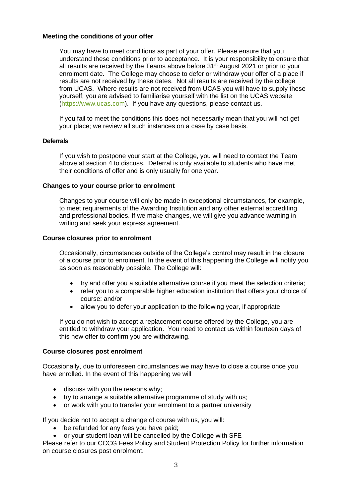# **Meeting the conditions of your offer**

You may have to meet conditions as part of your offer. Please ensure that you understand these conditions prior to acceptance. It is your responsibility to ensure that all results are received by the Teams above before 31<sup>st</sup> August 2021 or prior to your enrolment date. The College may choose to defer or withdraw your offer of a place if results are not received by these dates. Not all results are received by the college from UCAS. Where results are not received from UCAS you will have to supply these yourself; you are advised to familiarise yourself with the list on the UCAS website (https://www.ucas.com). If you have any questions, please contact us.

If you fail to meet the conditions this does not necessarily mean that you will not get your place; we review all such instances on a case by case basis.

# **Deferrals**

If you wish to postpone your start at the College, you will need to contact the Team above at section 4 to discuss. Deferral is only available to students who have met their conditions of offer and is only usually for one year.

## **Changes to your course prior to enrolment**

Changes to your course will only be made in exceptional circumstances, for example, to meet requirements of the Awarding Institution and any other external accrediting and professional bodies. If we make changes, we will give you advance warning in writing and seek your express agreement.

## **Course closures prior to enrolment**

Occasionally, circumstances outside of the College's control may result in the closure of a course prior to enrolment. In the event of this happening the College will notify you as soon as reasonably possible. The College will:

- try and offer you a suitable alternative course if you meet the selection criteria;
- refer you to a comparable higher education institution that offers your choice of course; and/or
- allow you to defer your application to the following year, if appropriate.

If you do not wish to accept a replacement course offered by the College, you are entitled to withdraw your application. You need to contact us within fourteen days of this new offer to confirm you are withdrawing.

## **Course closures post enrolment**

Occasionally, due to unforeseen circumstances we may have to close a course once you have enrolled. In the event of this happening we will

- discuss with you the reasons why;
- try to arrange a suitable alternative programme of study with us;
- or work with you to transfer your enrolment to a partner university

If you decide not to accept a change of course with us, you will:

- be refunded for any fees you have paid;
- or your student loan will be cancelled by the College with SFE

Please refer to our CCCG Fees Policy and Student Protection Policy for further information on course closures post enrolment.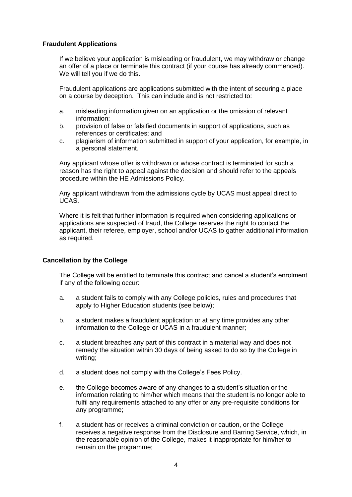# **Fraudulent Applications**

If we believe your application is misleading or fraudulent, we may withdraw or change an offer of a place or terminate this contract (if your course has already commenced). We will tell you if we do this.

Fraudulent applications are applications submitted with the intent of securing a place on a course by deception. This can include and is not restricted to:

- a. misleading information given on an application or the omission of relevant information;
- b. provision of false or falsified documents in support of applications, such as references or certificates; and
- c. plagiarism of information submitted in support of your application, for example, in a personal statement.

Any applicant whose offer is withdrawn or whose contract is terminated for such a reason has the right to appeal against the decision and should refer to the appeals procedure within the HE Admissions Policy.

Any applicant withdrawn from the admissions cycle by UCAS must appeal direct to UCAS.

Where it is felt that further information is required when considering applications or applications are suspected of fraud, the College reserves the right to contact the applicant, their referee, employer, school and/or UCAS to gather additional information as required.

# **Cancellation by the College**

The College will be entitled to terminate this contract and cancel a student's enrolment if any of the following occur:

- a. a student fails to comply with any College policies, rules and procedures that apply to Higher Education students (see below);
- b. a student makes a fraudulent application or at any time provides any other information to the College or UCAS in a fraudulent manner;
- c. a student breaches any part of this contract in a material way and does not remedy the situation within 30 days of being asked to do so by the College in writing;
- d. a student does not comply with the College's Fees Policy.
- e. the College becomes aware of any changes to a student's situation or the information relating to him/her which means that the student is no longer able to fulfil any requirements attached to any offer or any pre-requisite conditions for any programme;
- f. a student has or receives a criminal conviction or caution, or the College receives a negative response from the Disclosure and Barring Service, which, in the reasonable opinion of the College, makes it inappropriate for him/her to remain on the programme;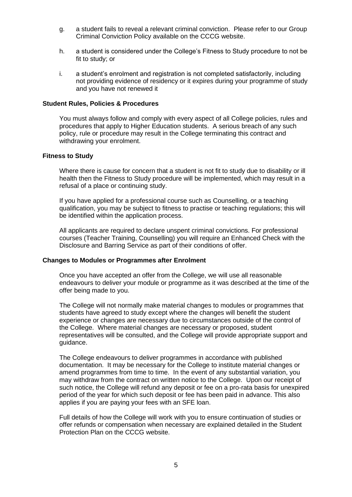- g. a student fails to reveal a relevant criminal conviction. Please refer to our Group Criminal Conviction Policy available on the CCCG website.
- h. a student is considered under the College's Fitness to Study procedure to not be fit to study; or
- i. a student's enrolment and registration is not completed satisfactorily, including not providing evidence of residency or it expires during your programme of study and you have not renewed it

#### **Student Rules, Policies & Procedures**

You must always follow and comply with every aspect of all College policies, rules and procedures that apply to Higher Education students. A serious breach of any such policy, rule or procedure may result in the College terminating this contract and withdrawing your enrolment.

#### **Fitness to Study**

Where there is cause for concern that a student is not fit to study due to disability or ill health then the Fitness to Study procedure will be implemented, which may result in a refusal of a place or continuing study.

If you have applied for a professional course such as Counselling, or a teaching qualification, you may be subject to fitness to practise or teaching regulations; this will be identified within the application process.

All applicants are required to declare unspent criminal convictions. For professional courses (Teacher Training, Counselling) you will require an Enhanced Check with the Disclosure and Barring Service as part of their conditions of offer.

#### **Changes to Modules or Programmes after Enrolment**

Once you have accepted an offer from the College, we will use all reasonable endeavours to deliver your module or programme as it was described at the time of the offer being made to you.

The College will not normally make material changes to modules or programmes that students have agreed to study except where the changes will benefit the student experience or changes are necessary due to circumstances outside of the control of the College. Where material changes are necessary or proposed, student representatives will be consulted, and the College will provide appropriate support and guidance.

The College endeavours to deliver programmes in accordance with published documentation. It may be necessary for the College to institute material changes or amend programmes from time to time. In the event of any substantial variation, you may withdraw from the contract on written notice to the College. Upon our receipt of such notice, the College will refund any deposit or fee on a pro-rata basis for unexpired period of the year for which such deposit or fee has been paid in advance. This also applies if you are paying your fees with an SFE loan.

Full details of how the College will work with you to ensure continuation of studies or offer refunds or compensation when necessary are explained detailed in the Student Protection Plan on the CCCG website.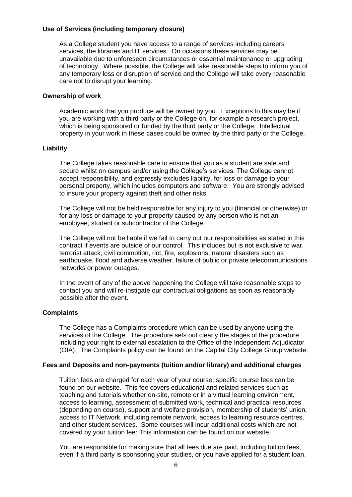# **Use of Services (including temporary closure)**

As a College student you have access to a range of services including careers services, the libraries and IT services. On occasions these services may be unavailable due to unforeseen circumstances or essential maintenance or upgrading of technology. Where possible, the College will take reasonable steps to inform you of any temporary loss or disruption of service and the College will take every reasonable care not to disrupt your learning.

## **Ownership of work**

Academic work that you produce will be owned by you. Exceptions to this may be if you are working with a third party or the College on, for example a research project, which is being sponsored or funded by the third party or the College. Intellectual property in your work in these cases could be owned by the third party or the College.

# **Liability**

The College takes reasonable care to ensure that you as a student are safe and secure whilst on campus and/or using the College's services. The College cannot accept responsibility, and expressly excludes liability, for loss or damage to your personal property, which includes computers and software. You are strongly advised to insure your property against theft and other risks.

The College will not be held responsible for any injury to you (financial or otherwise) or for any loss or damage to your property caused by any person who is not an employee, student or subcontractor of the College.

The College will not be liable if we fail to carry out our responsibilities as stated in this contract if events are outside of our control. This includes but is not exclusive to war, terrorist attack, civil commotion, riot, fire, explosions, natural disasters such as earthquake, flood and adverse weather, failure of public or private telecommunications networks or power outages.

In the event of any of the above happening the College will take reasonable steps to contact you and will re-instigate our contractual obligations as soon as reasonably possible after the event.

# **Complaints**

The College has a Complaints procedure which can be used by anyone using the services of the College. The procedure sets out clearly the stages of the procedure, including your right to external escalation to the Office of the Independent Adjudicator (OIA). The Complaints policy can be found on the Capital City College Group website.

# **Fees and Deposits and non-payments (tuition and/or library) and additional charges**

Tuition fees are charged for each year of your course; specific course fees can be found on our website. This fee covers educational and related services such as teaching and tutorials whether on-site, remote or in a virtual learning environment, access to learning, assessment of submitted work, technical and practical resources (depending on course), support and welfare provision, membership of students' union, access to IT Network, including remote network, access to learning resource centres, and other student services. Some courses will incur additional costs which are not covered by your tuition fee: This information can be found on our website.

You are responsible for making sure that all fees due are paid, including tuition fees, even if a third party is sponsoring your studies, or you have applied for a student loan.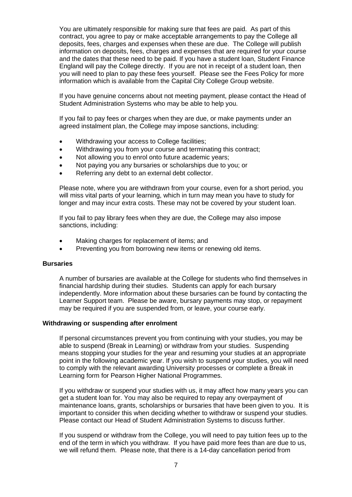You are ultimately responsible for making sure that fees are paid. As part of this contract, you agree to pay or make acceptable arrangements to pay the College all deposits, fees, charges and expenses when these are due. The College will publish information on deposits, fees, charges and expenses that are required for your course and the dates that these need to be paid. If you have a student loan, Student Finance England will pay the College directly. If you are not in receipt of a student loan, then you will need to plan to pay these fees yourself. Please see the Fees Policy for more information which is available from the Capital City College Group website.

If you have genuine concerns about not meeting payment, please contact the Head of Student Administration Systems who may be able to help you.

If you fail to pay fees or charges when they are due, or make payments under an agreed instalment plan, the College may impose sanctions, including:

- Withdrawing your access to College facilities;
- Withdrawing you from your course and terminating this contract;
- Not allowing you to enrol onto future academic years;
- Not paying you any bursaries or scholarships due to you; or
- Referring any debt to an external debt collector.

Please note, where you are withdrawn from your course, even for a short period, you will miss vital parts of your learning, which in turn may mean you have to study for longer and may incur extra costs. These may not be covered by your student loan.

If you fail to pay library fees when they are due, the College may also impose sanctions, including:

- Making charges for replacement of items; and
- Preventing you from borrowing new items or renewing old items.

#### **Bursaries**

A number of bursaries are available at the College for students who find themselves in financial hardship during their studies. Students can apply for each bursary independently. More information about these bursaries can be found by contacting the Learner Support team. Please be aware, bursary payments may stop, or repayment may be required if you are suspended from, or leave, your course early.

#### **Withdrawing or suspending after enrolment**

If personal circumstances prevent you from continuing with your studies, you may be able to suspend (Break in Learning) or withdraw from your studies. Suspending means stopping your studies for the year and resuming your studies at an appropriate point in the following academic year. If you wish to suspend your studies, you will need to comply with the relevant awarding University processes or complete a Break in Learning form for Pearson Higher National Programmes.

If you withdraw or suspend your studies with us, it may affect how many years you can get a student loan for. You may also be required to repay any overpayment of maintenance loans, grants, scholarships or bursaries that have been given to you. It is important to consider this when deciding whether to withdraw or suspend your studies. Please contact our Head of Student Administration Systems to discuss further.

If you suspend or withdraw from the College, you will need to pay tuition fees up to the end of the term in which you withdraw. If you have paid more fees than are due to us, we will refund them. Please note, that there is a 14-day cancellation period from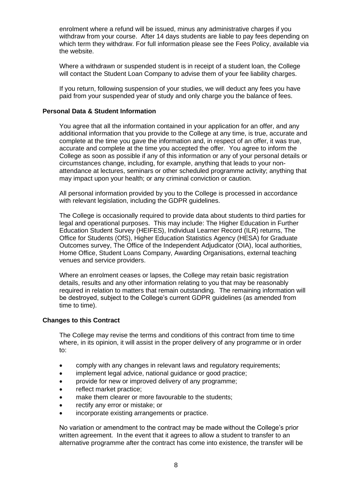enrolment where a refund will be issued, minus any administrative charges if you withdraw from your course. After 14 days students are liable to pay fees depending on which term they withdraw. For full information please see the Fees Policy, available via the website.

Where a withdrawn or suspended student is in receipt of a student loan, the College will contact the Student Loan Company to advise them of your fee liability charges.

If you return, following suspension of your studies, we will deduct any fees you have paid from your suspended year of study and only charge you the balance of fees.

# **Personal Data & Student Information**

You agree that all the information contained in your application for an offer, and any additional information that you provide to the College at any time, is true, accurate and complete at the time you gave the information and, in respect of an offer, it was true, accurate and complete at the time you accepted the offer. You agree to inform the College as soon as possible if any of this information or any of your personal details or circumstances change, including, for example, anything that leads to your nonattendance at lectures, seminars or other scheduled programme activity; anything that may impact upon your health; or any criminal conviction or caution.

All personal information provided by you to the College is processed in accordance with relevant legislation, including the GDPR guidelines.

The College is occasionally required to provide data about students to third parties for legal and operational purposes. This may include: The Higher Education in Further Education Student Survey (HEIFES), Individual Learner Record (ILR) returns, The Office for Students (OfS), Higher Education Statistics Agency (HESA) for Graduate Outcomes survey, The Office of the Independent Adjudicator (OIA), local authorities, Home Office, Student Loans Company, Awarding Organisations, external teaching venues and service providers.

Where an enrolment ceases or lapses, the College may retain basic registration details, results and any other information relating to you that may be reasonably required in relation to matters that remain outstanding. The remaining information will be destroyed, subject to the College's current GDPR guidelines (as amended from time to time).

## **Changes to this Contract**

The College may revise the terms and conditions of this contract from time to time where, in its opinion, it will assist in the proper delivery of any programme or in order to:

- comply with any changes in relevant laws and regulatory requirements;
- implement legal advice, national guidance or good practice;
- provide for new or improved delivery of any programme;
- reflect market practice:
- make them clearer or more favourable to the students;
- rectify any error or mistake; or
- incorporate existing arrangements or practice.

No variation or amendment to the contract may be made without the College's prior written agreement. In the event that it agrees to allow a student to transfer to an alternative programme after the contract has come into existence, the transfer will be